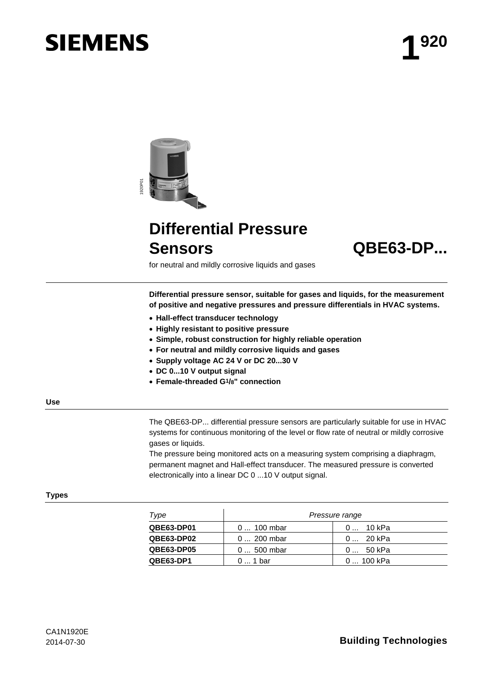# **SIEMENS**



# **Differential Pressure Sensors QBE63-DP...**



for neutral and mildly corrosive liquids and gases

**Differential pressure sensor, suitable for gases and liquids, for the measurement of positive and negative pressures and pressure differentials in HVAC systems.**

- **Hall-effect transducer technology**
- **Highly resistant to positive pressure**
- **Simple, robust construction for highly reliable operation**
- **For neutral and mildly corrosive liquids and gases**
- **Supply voltage AC 24 V or DC 20...30 V**
- **DC 0...10 V output signal**
- **Female-threaded G1/8" connection**

#### **Use**

The QBE63-DP... differential pressure sensors are particularly suitable for use in HVAC systems for continuous monitoring of the level or flow rate of neutral or mildly corrosive gases or liquids.

The pressure being monitored acts on a measuring system comprising a diaphragm, permanent magnet and Hall-effect transducer. The measured pressure is converted electronically into a linear DC 0 ...10 V output signal.

#### **Types**

| Type              | Pressure range |            |
|-------------------|----------------|------------|
| QBE63-DP01        | 0  100 mbar    | 0 10 kPa   |
| <b>QBE63-DP02</b> | 0  200 mbar    | 0 20 kPa   |
| QBE63-DP05        | $0500$ mbar    | 0 50 kPa   |
| QBE63-DP1         | $01$ bar       | 0  100 kPa |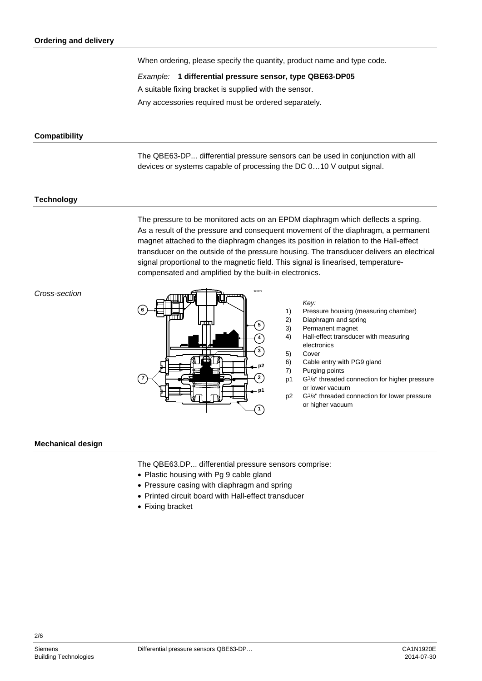When ordering, please specify the quantity, product name and type code.

*Example:* **1 differential pressure sensor, type QBE63-DP05**

A suitable fixing bracket is supplied with the sensor.

Any accessories required must be ordered separately.

# **Compatibility**

The QBE63-DP... differential pressure sensors can be used in conjunction with all devices or systems capable of processing the DC 0…10 V output signal.

# **Technology**

The pressure to be monitored acts on an EPDM diaphragm which deflects a spring. As a result of the pressure and consequent movement of the diaphragm, a permanent magnet attached to the diaphragm changes its position in relation to the Hall-effect transducer on the outside of the pressure housing. The transducer delivers an electrical signal proportional to the magnetic field. This signal is linearised, temperaturecompensated and amplified by the built-in electronics.

## *Cross-section*



#### *Key:*

- 1) Pressure housing (measuring chamber)
- 2) Diaphragm and spring
- 3) Permanent magnet<br>4) Hall-effect transduc
- 4) Hall-effect transducer with measuring electronics
- 5) Cover
- 6) Cable entry with PG9 gland<br>7) Purging points
- Purging points
- p1 G1/8" threaded connection for higher pressure or lower vacuum
- p2 G1/8" threaded connection for lower pressure or higher vacuum

#### **Mechanical design**

The QBE63.DP... differential pressure sensors comprise:

- Plastic housing with Pg 9 cable gland
- Pressure casing with diaphragm and spring
- Printed circuit board with Hall-effect transducer
- Fixing bracket

2/6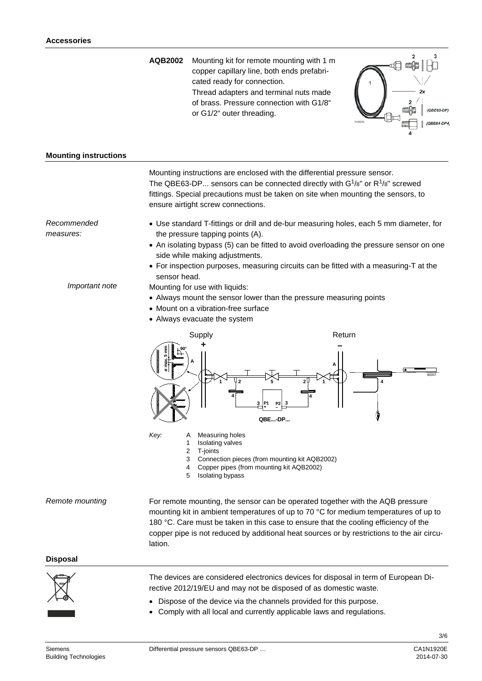**AQB2002** Mounting kit for remote mounting with 1 m copper capillary line, both ends prefabricated ready for connection. Thread adapters and terminal nuts made of brass. Pressure connection with G1/8" or G1/2" outer threading.



## **Mounting instructions**

Mounting instructions are enclosed with the differential pressure sensor. The QBE63-DP... sensors can be connected directly with  $G^{1}/8"$  or  $R^{1}/8"$  screwed fittings. Special precautions must be taken on site when mounting the sensors, to ensure airtight screw connections. • Use standard T-fittings or drill and de-bur measuring holes, each 5 mm diameter, for the pressure tapping points (A). • An isolating bypass (5) can be fitted to avoid overloading the pressure sensor on one side while making adjustments. • For inspection purposes, measuring circuits can be fitted with a measuring-T at the sensor head. Mounting for use with liquids: • Always mount the sensor lower than the pressure measuring points • Mount on a vibration-free surface • Always evacuate the system Supply **Return QBE...-DP... P1 <sup>+</sup> P2 – 2 2 3 3 4 4 1 1 <sup>A</sup> <sup>A</sup> + – 5 ø max. 5 mm 90°** 80357 **4** *Key:* A Measuring holes 1 Isolating valves 2 T-joints *Recommended measures: Important note*

3 Connection pieces (from mounting kit AQB2002)<br>4 Conner pines (from mounting kit AQB2002)

4 Copper pipes (from mounting kit AQB2002)<br>5 Isolating bypass

Isolating bypass

For remote mounting, the sensor can be operated together with the AQB pressure mounting kit in ambient temperatures of up to 70 °C for medium temperatures of up to 180 °C. Care must be taken in this case to ensure that the cooling efficiency of the copper pipe is not reduced by additional heat sources or by restrictions to the air circulation. *Remote mounting*

# **Disposal**



The devices are considered electronics devices for disposal in term of European Directive 2012/19/EU and may not be disposed of as domestic waste.

- Dispose of the device via the channels provided for this purpose.
- Comply with all local and currently applicable laws and regulations.

3/6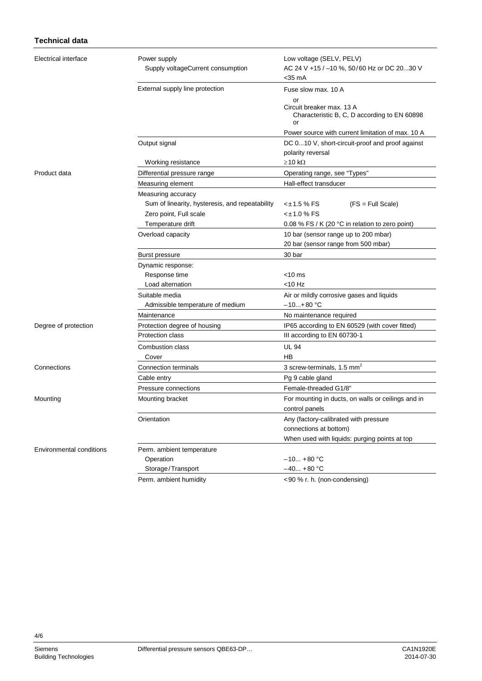# **Technical data**

| Electrical interface            | Power supply                                    | Low voltage (SELV, PELV)                                                              |
|---------------------------------|-------------------------------------------------|---------------------------------------------------------------------------------------|
|                                 | Supply voltageCurrent consumption               | AC 24 V +15 / -10 %, 50/60 Hz or DC 2030 V                                            |
|                                 |                                                 | <35 mA                                                                                |
|                                 | External supply line protection                 | Fuse slow max. 10 A                                                                   |
|                                 |                                                 | or<br>Circuit breaker max. 13 A<br>Characteristic B, C, D according to EN 60898<br>or |
|                                 |                                                 | Power source with current limitation of max. 10 A                                     |
|                                 | Output signal                                   | DC 010 V, short-circuit-proof and proof against                                       |
|                                 |                                                 | polarity reversal                                                                     |
|                                 | Working resistance                              | $\geq$ 10 k $\Omega$                                                                  |
| Product data                    | Differential pressure range                     | Operating range, see "Types"                                                          |
|                                 | Measuring element                               | Hall-effect transducer                                                                |
|                                 | Measuring accuracy                              |                                                                                       |
|                                 | Sum of linearity, hysteresis, and repeatability | <±1.5 % FS<br>$(FS = Full Scale)$                                                     |
|                                 | Zero point, Full scale                          | <±1.0 % FS                                                                            |
|                                 | Temperature drift                               | 0.08 % FS / K (20 °C in relation to zero point)                                       |
|                                 | Overload capacity                               | 10 bar (sensor range up to 200 mbar)                                                  |
|                                 |                                                 | 20 bar (sensor range from 500 mbar)                                                   |
|                                 | Burst pressure                                  | 30 bar                                                                                |
|                                 | Dynamic response:                               |                                                                                       |
|                                 | Response time                                   | <10 ms                                                                                |
|                                 | Load alternation                                | <10 Hz                                                                                |
|                                 | Suitable media                                  | Air or mildly corrosive gases and liquids                                             |
|                                 | Admissible temperature of medium                | $-10+80 °C$                                                                           |
|                                 | Maintenance                                     | No maintenance required                                                               |
| Degree of protection            | Protection degree of housing                    | IP65 according to EN 60529 (with cover fitted)                                        |
|                                 | <b>Protection class</b>                         | III according to EN 60730-1                                                           |
|                                 | Combustion class                                | <b>UL 94</b>                                                                          |
|                                 | Cover                                           | НB                                                                                    |
| Connections                     | Connection terminals                            | 3 screw-terminals, 1.5 mm <sup>2</sup>                                                |
|                                 | Cable entry                                     | Pg 9 cable gland                                                                      |
|                                 | Pressure connections                            | Female-threaded G1/8"                                                                 |
| Mounting                        | Mounting bracket                                | For mounting in ducts, on walls or ceilings and in                                    |
|                                 |                                                 | control panels                                                                        |
|                                 | Orientation                                     | Any (factory-calibrated with pressure                                                 |
|                                 |                                                 | connections at bottom)                                                                |
|                                 |                                                 | When used with liquids: purging points at top                                         |
| <b>Environmental conditions</b> | Perm. ambient temperature                       |                                                                                       |
|                                 | Operation                                       | –10 +80 °C                                                                            |
|                                 | Storage/Transport                               | $-40 + 80$ °C                                                                         |
|                                 | Perm. ambient humidity                          | <90 % r. h. (non-condensing)                                                          |

4/6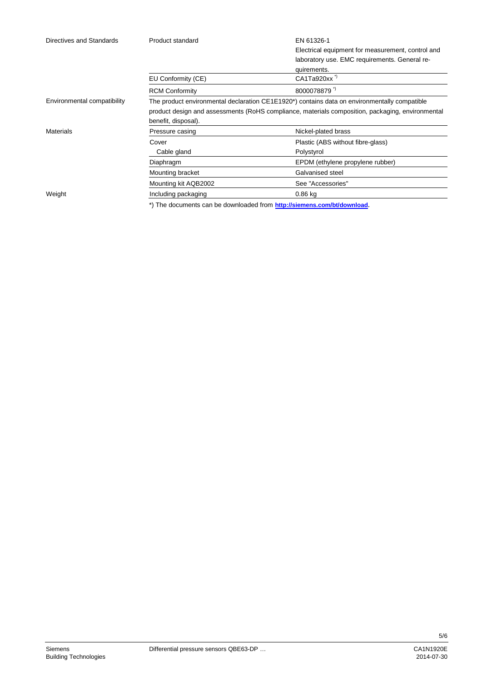| Directives and Standards    | Product standard                                                                                          | EN 61326-1                                        |  |
|-----------------------------|-----------------------------------------------------------------------------------------------------------|---------------------------------------------------|--|
|                             |                                                                                                           | Electrical equipment for measurement, control and |  |
|                             |                                                                                                           | laboratory use. EMC requirements. General re-     |  |
|                             |                                                                                                           | quirements.                                       |  |
|                             | EU Conformity (CE)                                                                                        | CA1Ta920xx <sup>*</sup>                           |  |
|                             | <b>RCM Conformity</b>                                                                                     | 8000078879"                                       |  |
| Environmental compatibility | The product environmental declaration CE1E1920 <sup>*</sup> ) contains data on environmentally compatible |                                                   |  |
|                             | product design and assessments (RoHS compliance, materials composition, packaging, environmental          |                                                   |  |
|                             | benefit, disposal).                                                                                       |                                                   |  |
| <b>Materials</b>            | Pressure casing                                                                                           | Nickel-plated brass                               |  |
|                             | Cover                                                                                                     | Plastic (ABS without fibre-glass)                 |  |
|                             | Cable gland                                                                                               | Polystyrol                                        |  |
|                             | Diaphragm                                                                                                 | EPDM (ethylene propylene rubber)                  |  |
|                             | Mounting bracket                                                                                          | Galvanised steel                                  |  |
|                             | Mounting kit AQB2002                                                                                      | See "Accessories"                                 |  |
| Weight                      | Including packaging                                                                                       | 0.86 kg                                           |  |

\*) The documents can be downloaded from **<http://siemens.com/bt/download>**.